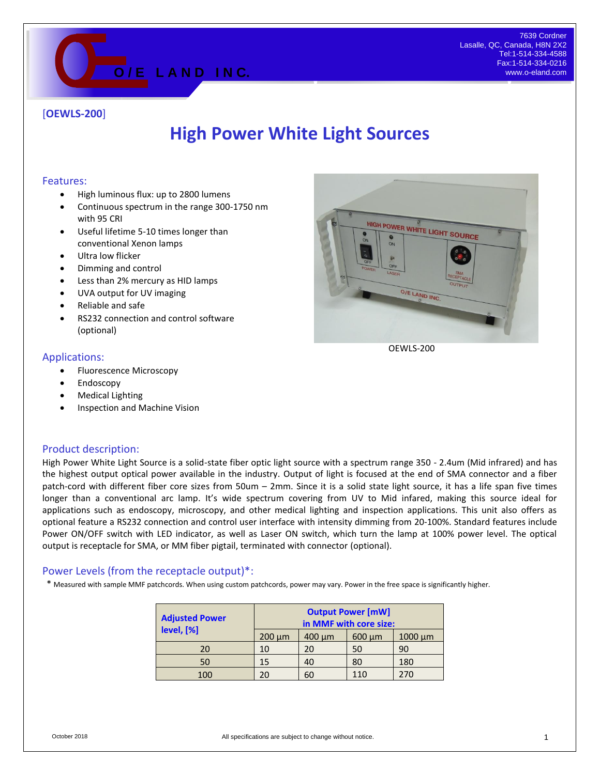

### [**OEWLS-200**]

# **High Power White Light Sources**

#### Features:

- High luminous flux: up to 2800 lumens
- Continuous spectrum in the range 300-1750 nm with 95 CRI
- Useful lifetime 5-10 times longer than conventional Xenon lamps
- Ultra low flicker
- Dimming and control
- Less than 2% mercury as HID lamps
- UVA output for UV imaging
- Reliable and safe
- RS232 connection and control software (optional)

#### Applications:

- Fluorescence Microscopy
- Endoscopy
- Medical Lighting
- Inspection and Machine Vision

#### Product description:

High Power White Light Source is a solid-state fiber optic light source with a spectrum range 350 - 2.4um (Mid infrared) and has the highest output optical power available in the industry. Output of light is focused at the end of SMA connector and a fiber patch-cord with different fiber core sizes from 50um – 2mm. Since it is a solid state light source, it has a life span five times longer than a conventional arc lamp. It's wide spectrum covering from UV to Mid infared, making this source ideal for applications such as endoscopy, microscopy, and other medical lighting and inspection applications. This unit also offers as optional feature a RS232 connection and control user interface with intensity dimming from 20-100%. Standard features include Power ON/OFF switch with LED indicator, as well as Laser ON switch, which turn the lamp at 100% power level. The optical output is receptacle for SMA, or MM fiber pigtail, terminated with connector (optional).

#### Power Levels (from the receptacle output)\*:

\* Measured with sample MMF patchcords. When using custom patchcords, power may vary. Power in the free space is significantly higher.

| <b>Adjusted Power</b><br>level, [%] | <b>Output Power [mW]</b><br>in MMF with core size: |             |             |              |
|-------------------------------------|----------------------------------------------------|-------------|-------------|--------------|
|                                     | $200 \mu m$                                        | $400 \mu m$ | $600 \mu m$ | $1000 \mu m$ |
| 20                                  | 10                                                 | 20          | 50          | 90           |
| 50                                  | 15                                                 | 40          | 80          | 180          |
| 100                                 | 20                                                 | 60          | 110         | 270          |



OEWLS-200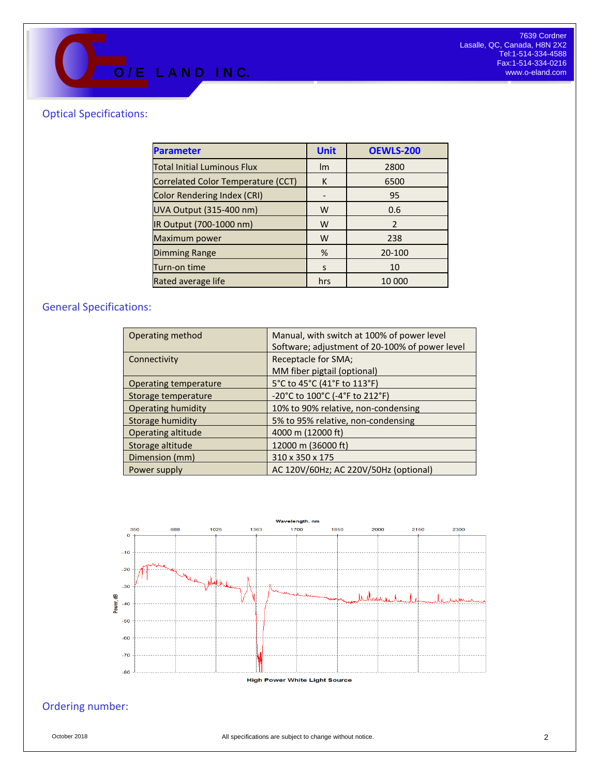## Optical Specifications:

| <b>Parameter</b>                   | <b>Unit</b> | <b>OEWLS-200</b> |  |
|------------------------------------|-------------|------------------|--|
| <b>Total Initial Luminous Flux</b> | Im          | 2800             |  |
| Correlated Color Temperature (CCT) | K           | 6500             |  |
| <b>Color Rendering Index (CRI)</b> |             | 95               |  |
| <b>UVA Output (315-400 nm)</b>     | W           | 0.6              |  |
| IR Output (700-1000 nm)            | W           | $\overline{2}$   |  |
| Maximum power                      | W           | 238              |  |
| <b>Dimming Range</b>               | %           | 20-100           |  |
| Turn-on time                       | S           | 10               |  |
| Rated average life                 | hrs         | 10 000           |  |

## General Specifications:

| Operating method          | Manual, with switch at 100% of power level     |  |  |
|---------------------------|------------------------------------------------|--|--|
|                           | Software; adjustment of 20-100% of power level |  |  |
| Connectivity              | Receptacle for SMA;                            |  |  |
|                           | MM fiber pigtail (optional)                    |  |  |
| Operating temperature     | 5°C to 45°C (41°F to 113°F)                    |  |  |
| Storage temperature       | -20°C to 100°C (-4°F to 212°F)                 |  |  |
| <b>Operating humidity</b> | 10% to 90% relative, non-condensing            |  |  |
| Storage humidity          | 5% to 95% relative, non-condensing             |  |  |
| Operating altitude        | 4000 m (12000 ft)                              |  |  |
| Storage altitude          | 12000 m (36000 ft)                             |  |  |
| Dimension (mm)            | 310 x 350 x 175                                |  |  |
| Power supply              | AC 120V/60Hz; AC 220V/50Hz (optional)          |  |  |



# Ordering number: